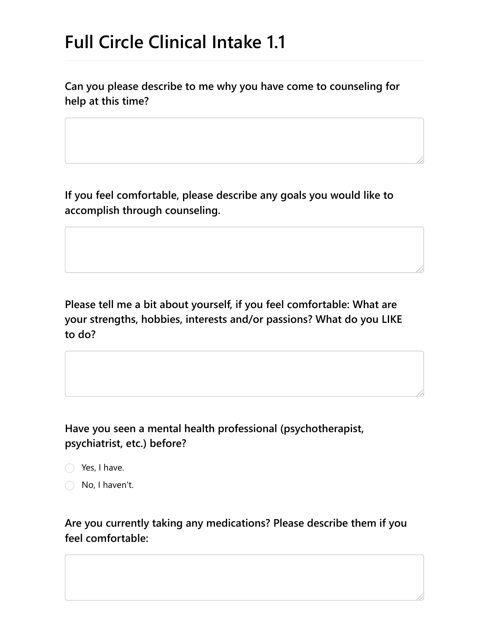# **Full Circle Clinical Intake 1.1**

**Can you please describe to me why you have come to counseling for help at this time?**

**If you feel comfortable, please describe any goals you would like to accomplish through counseling.**

**Please tell me a bit about yourself, if you feel comfortable: What are your strengths, hobbies, interests and/or passions? What do you LIKE to do?**

**Have you seen a mental health professional (psychotherapist, psychiatrist, etc.) before?**

◯ Yes, I have.

No, I haven't.

**Are you currently taking any medications? Please describe them if you feel comfortable:**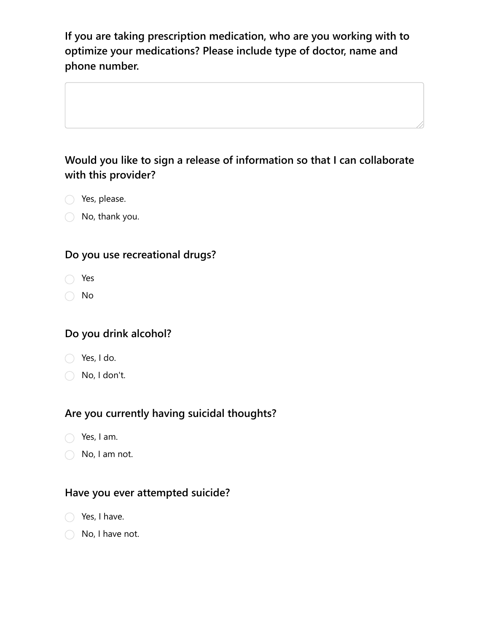**If you are taking prescription medication, who are you working with to optimize your medications? Please include type of doctor, name and phone number.**

### **Would you like to sign a release of information so that I can collaborate with this provider?**

- Yes, please.
- No, thank you.

#### **Do you use recreational drugs?**

- Yes
- No

#### **Do you drink alcohol?**

- Yes, I do.
- No, I don't.

#### **Are you currently having suicidal thoughts?**

- $\bigcap$  Yes, I am.
- No, I am not.

#### **Have you ever attempted suicide?**

- Yes, I have.
- No, I have not.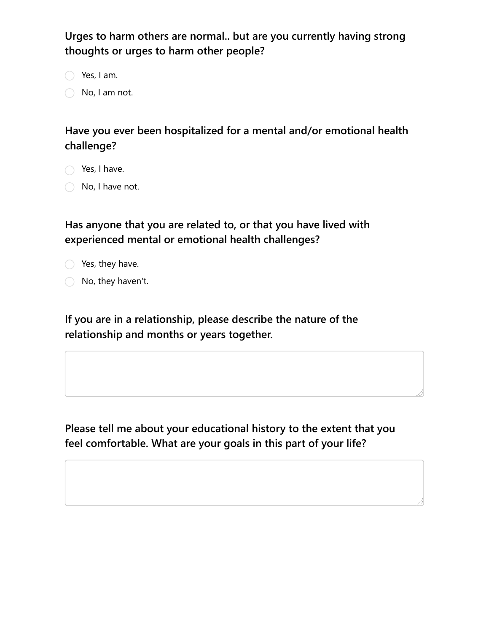**Urges to harm others are normal.. but are you currently having strong thoughts or urges to harm other people?**

 $\bigcirc$  Yes, I am.

 $\bigcirc$  No, I am not.

# **Have you ever been hospitalized for a mental and/or emotional health challenge?**

 $\bigcap$  Yes, I have.

 $\bigcirc$  No, I have not.

**Has anyone that you are related to, or that you have lived with experienced mental or emotional health challenges?**



◯ No, they haven't.

**If you are in a relationship, please describe the nature of the relationship and months or years together.**

**Please tell me about your educational history to the extent that you feel comfortable. What are your goals in this part of your life?**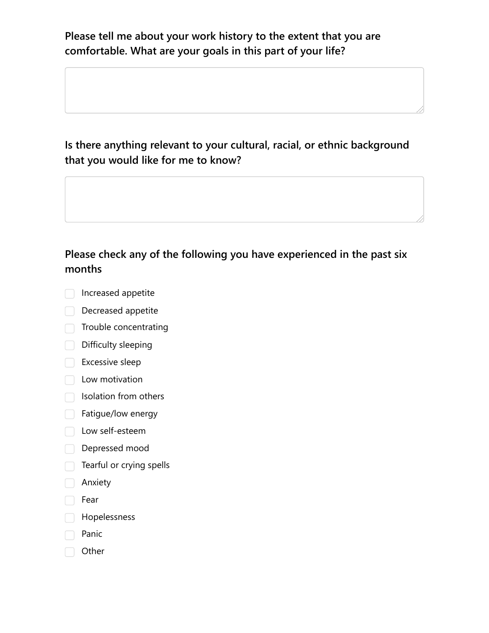**Please tell me about your work history to the extent that you are comfortable. What are your goals in this part of your life?**

**Is there anything relevant to your cultural, racial, or ethnic background that you would like for me to know?**

# **Please check any of the following you have experienced in the past six months**

- Increased appetite
- Decreased appetite
- $\Box$  Trouble concentrating
- Difficulty sleeping
- Excessive sleep
- **Low motivation**
- $\Box$  Isolation from others
- Fatigue/low energy
- **Low self-esteem**
- Depressed mood
- $\Box$  Tearful or crying spells
- Anxiety
- Fear
- Hopelessness
- Panic
- Other